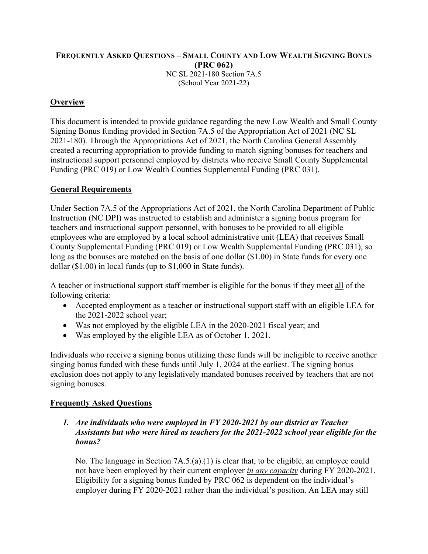## **FREQUENTLY ASKED QUESTIONS – SMALL COUNTY AND LOW WEALTH SIGNING BONUS (PRC 062)**  NC SL 2021-180 Section 7A.5 (School Year 2021-22)

# **Overview**

This document is intended to provide guidance regarding the new Low Wealth and Small County Signing Bonus funding provided in Section 7A.5 of the Appropriation Act of 2021 (NC SL 2021-180). Through the Appropriations Act of 2021, the North Carolina General Assembly created a recurring appropriation to provide funding to match signing bonuses for teachers and instructional support personnel employed by districts who receive Small County Supplemental Funding (PRC 019) or Low Wealth Counties Supplemental Funding (PRC 031).

## **General Requirements**

Under Section 7A.5 of the Appropriations Act of 2021, the North Carolina Department of Public Instruction (NC DPI) was instructed to establish and administer a signing bonus program for teachers and instructional support personnel, with bonuses to be provided to all eligible employees who are employed by a local school administrative unit (LEA) that receives Small County Supplemental Funding (PRC 019) or Low Wealth Supplemental Funding (PRC 031), so long as the bonuses are matched on the basis of one dollar (\$1.00) in State funds for every one dollar (\$1.00) in local funds (up to \$1,000 in State funds).

A teacher or instructional support staff member is eligible for the bonus if they meet all of the following criteria:

- Accepted employment as a teacher or instructional support staff with an eligible LEA for the 2021-2022 school year;
- Was not employed by the eligible LEA in the 2020-2021 fiscal year; and
- Was employed by the eligible LEA as of October 1, 2021.

Individuals who receive a signing bonus utilizing these funds will be ineligible to receive another singing bonus funded with these funds until July 1, 2024 at the earliest. The signing bonus exclusion does not apply to any legislatively mandated bonuses received by teachers that are not signing bonuses.

## **Frequently Asked Questions**

*1. Are individuals who were employed in FY 2020-2021 by our district as Teacher Assistants but who were hired as teachers for the 2021-2022 school year eligible for the bonus?* 

No. The language in Section 7A.5.(a).(1) is clear that, to be eligible, an employee could not have been employed by their current employer *in any capacity* during FY 2020-2021. Eligibility for a signing bonus funded by PRC 062 is dependent on the individual's employer during FY 2020-2021 rather than the individual's position. An LEA may still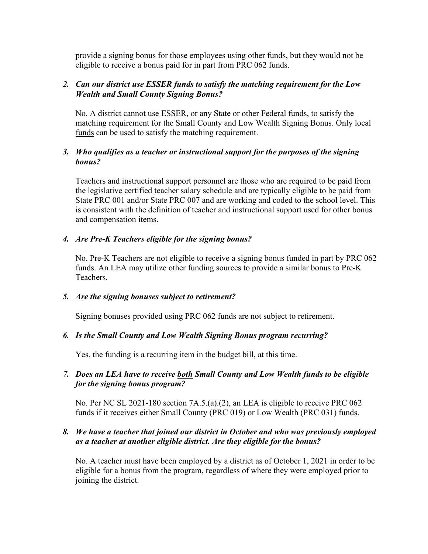provide a signing bonus for those employees using other funds, but they would not be eligible to receive a bonus paid for in part from PRC 062 funds.

### *2. Can our district use ESSER funds to satisfy the matching requirement for the Low Wealth and Small County Signing Bonus?*

No. A district cannot use ESSER, or any State or other Federal funds, to satisfy the matching requirement for the Small County and Low Wealth Signing Bonus. Only local funds can be used to satisfy the matching requirement.

## *3. Who qualifies as a teacher or instructional support for the purposes of the signing bonus?*

Teachers and instructional support personnel are those who are required to be paid from the legislative certified teacher salary schedule and are typically eligible to be paid from State PRC 001 and/or State PRC 007 and are working and coded to the school level. This is consistent with the definition of teacher and instructional support used for other bonus and compensation items.

## *4. Are Pre-K Teachers eligible for the signing bonus?*

No. Pre-K Teachers are not eligible to receive a signing bonus funded in part by PRC 062 funds. An LEA may utilize other funding sources to provide a similar bonus to Pre-K Teachers.

#### *5. Are the signing bonuses subject to retirement?*

Signing bonuses provided using PRC 062 funds are not subject to retirement.

#### *6. Is the Small County and Low Wealth Signing Bonus program recurring?*

Yes, the funding is a recurring item in the budget bill, at this time.

### *7. Does an LEA have to receive both Small County and Low Wealth funds to be eligible for the signing bonus program?*

No. Per NC SL 2021-180 section 7A.5.(a).(2), an LEA is eligible to receive PRC 062 funds if it receives either Small County (PRC 019) or Low Wealth (PRC 031) funds.

## *8. We have a teacher that joined our district in October and who was previously employed as a teacher at another eligible district. Are they eligible for the bonus?*

No. A teacher must have been employed by a district as of October 1, 2021 in order to be eligible for a bonus from the program, regardless of where they were employed prior to joining the district.